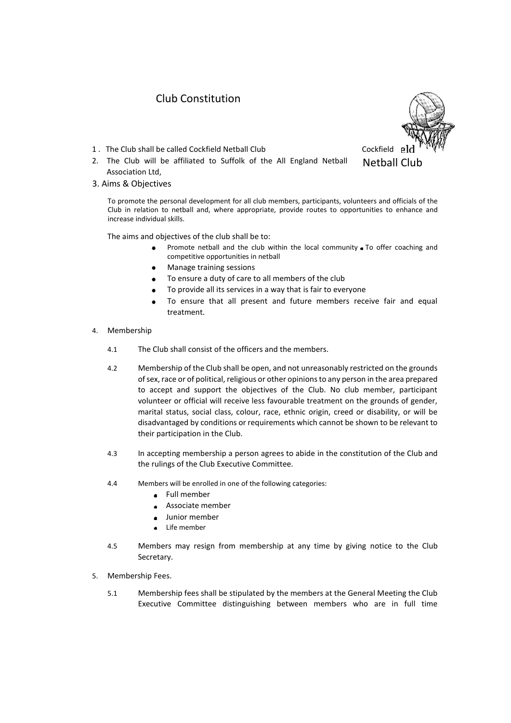## Club Constitution

- 1 . The Club shall be called Cockfield Netball Club Cockfield
- 2. The Club will be affiliated to Suffolk of the All England Netball Association Ltd,
- 3. Aims & Objectives

To promote the personal development for all club members, participants, volunteers and officials of the Club in relation to netball and, where appropriate, provide routes to opportunities to enhance and increase individual skills.

The aims and objectives of the club shall be to:

- Promote netball and the club within the local community  $\bullet$  To offer coaching and competitive opportunities in netball
- Manage training sessions  $\bullet$
- To ensure a duty of care to all members of the club
- To provide all its services in a way that is fair to everyone
- To ensure that all present and future members receive fair and equal treatment.
- 4. Membership
	- 4.1 The Club shall consist of the officers and the members.
	- 4.2 Membership of the Club shall be open, and not unreasonably restricted on the grounds of sex, race or of political, religious or other opinions to any person in the area prepared to accept and support the objectives of the Club. No club member, participant volunteer or official will receive less favourable treatment on the grounds of gender, marital status, social class, colour, race, ethnic origin, creed or disability, or will be disadvantaged by conditions or requirements which cannot be shown to be relevant to their participation in the Club.
	- 4.3 In accepting membership a person agrees to abide in the constitution of the Club and the rulings of the Club Executive Committee.
	- 4.4 Members will be enrolled in one of the following categories:
		- Full member  $\bullet$
		- Associate member
		- Junior member
		- Life member
	- 4.5 Members may resign from membership at any time by giving notice to the Club Secretary.
- 5. Membership Fees.
	- 5.1 Membership fees shall be stipulated by the members at the General Meeting the Club Executive Committee distinguishing between members who are in full time

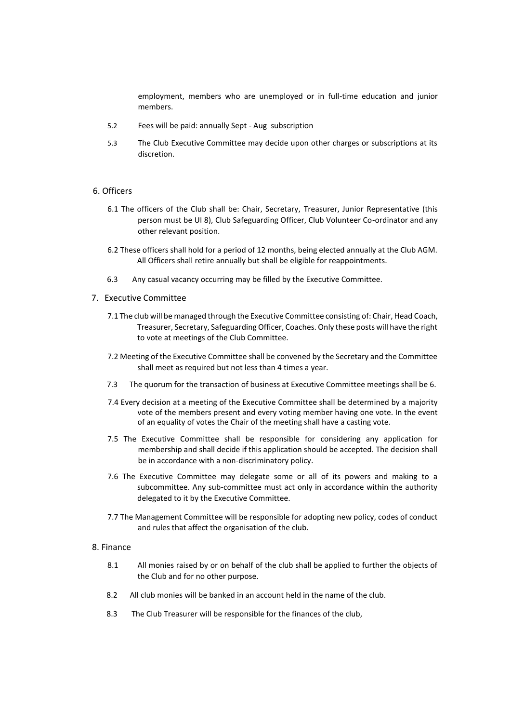employment, members who are unemployed or in full-time education and junior members.

- 5.2 Fees will be paid: annually Sept Aug subscription
- 5.3 The Club Executive Committee may decide upon other charges or subscriptions at its discretion.

## 6. Officers

- 6.1 The officers of the Club shall be: Chair, Secretary, Treasurer, Junior Representative (this person must be UI 8), Club Safeguarding Officer, Club Volunteer Co-ordinator and any other relevant position.
- 6.2 These officers shall hold for a period of 12 months, being elected annually at the Club AGM. All Officers shall retire annually but shall be eligible for reappointments.
- 6.3 Any casual vacancy occurring may be filled by the Executive Committee.
- 7. Executive Committee
	- 7.1 The club will be managed through the Executive Committee consisting of: Chair, Head Coach, Treasurer, Secretary, Safeguarding Officer, Coaches. Only these posts will have the right to vote at meetings of the Club Committee.
	- 7.2 Meeting of the Executive Committee shall be convened by the Secretary and the Committee shall meet as required but not less than 4 times a year.
	- 7.3 The quorum for the transaction of business at Executive Committee meetings shall be 6.
	- 7.4 Every decision at a meeting of the Executive Committee shall be determined by a majority vote of the members present and every voting member having one vote. In the event of an equality of votes the Chair of the meeting shall have a casting vote.
	- 7.5 The Executive Committee shall be responsible for considering any application for membership and shall decide if this application should be accepted. The decision shall be in accordance with a non-discriminatory policy.
	- 7.6 The Executive Committee may delegate some or all of its powers and making to a subcommittee. Any sub-committee must act only in accordance within the authority delegated to it by the Executive Committee.
	- 7.7 The Management Committee will be responsible for adopting new policy, codes of conduct and rules that affect the organisation of the club.

## 8. Finance

- 8.1 All monies raised by or on behalf of the club shall be applied to further the objects of the Club and for no other purpose.
- 8.2 All club monies will be banked in an account held in the name of the club.
- 8.3 The Club Treasurer will be responsible for the finances of the club,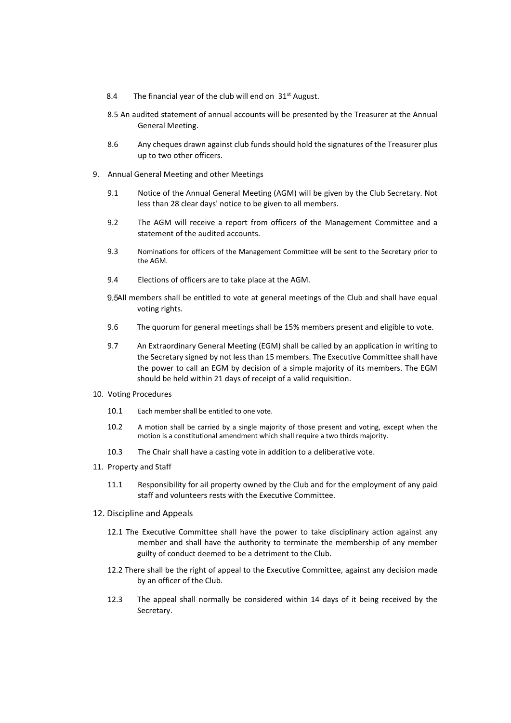- 8.4 The financial year of the club will end on  $31<sup>st</sup>$  August.
- 8.5 An audited statement of annual accounts will be presented by the Treasurer at the Annual General Meeting.
- 8.6 Any cheques drawn against club funds should hold the signatures of the Treasurer plus up to two other officers.
- 9. Annual General Meeting and other Meetings
	- 9.1 Notice of the Annual General Meeting (AGM) will be given by the Club Secretary. Not less than 28 clear days' notice to be given to all members.
	- 9.2 The AGM will receive a report from officers of the Management Committee and a statement of the audited accounts.
	- 9.3 Nominations for officers of the Management Committee will be sent to the Secretary prior to the AGM.
	- 9.4 Elections of officers are to take place at the AGM.
	- 9.5All members shall be entitled to vote at general meetings of the Club and shall have equal voting rights.
	- 9.6 The quorum for general meetings shall be 15% members present and eligible to vote.
	- 9.7 An Extraordinary General Meeting (EGM) shall be called by an application in writing to the Secretary signed by not less than 15 members. The Executive Committee shall have the power to call an EGM by decision of a simple majority of its members. The EGM should be held within 21 days of receipt of a valid requisition.
- 10. Voting Procedures
	- 10.1 Each member shall be entitled to one vote.
	- 10.2 A motion shall be carried by a single majority of those present and voting, except when the motion is a constitutional amendment which shall require a two thirds majority.
	- 10.3 The Chair shall have a casting vote in addition to a deliberative vote.
- 11. Property and Staff
	- 11.1 Responsibility for ail property owned by the Club and for the employment of any paid staff and volunteers rests with the Executive Committee.
- 12. Discipline and Appeals
	- 12.1 The Executive Committee shall have the power to take disciplinary action against any member and shall have the authority to terminate the membership of any member guilty of conduct deemed to be a detriment to the Club.
	- 12.2 There shall be the right of appeal to the Executive Committee, against any decision made by an officer of the Club.
	- 12.3 The appeal shall normally be considered within 14 days of it being received by the Secretary.